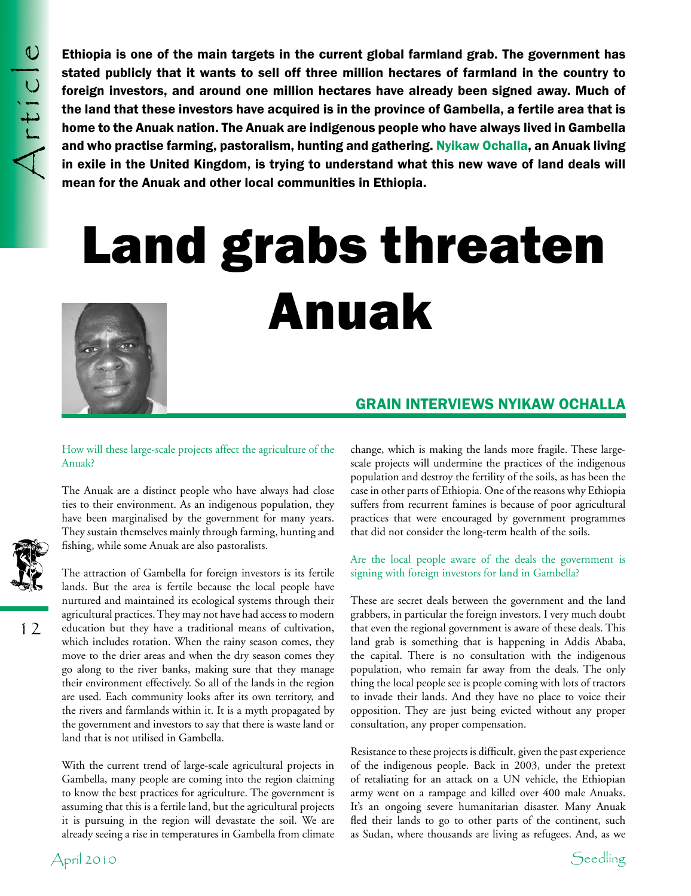Ethiopia is one of the main targets in the current global farmland grab. The government has stated publicly that it wants to sell off three million hectares of farmland in the country to foreign investors, and around one million hectares have already been signed away. Much of the land that these investors have acquired is in the province of Gambella, a fertile area that is home to the Anuak nation. The Anuak are indigenous people who have always lived in Gambella and who practise farming, pastoralism, hunting and gathering. Nyikaw Ochalla, an Anuak living in exile in the United Kingdom, is trying to understand what this new wave of land deals will mean for the Anuak and other local communities in Ethiopia.

# Land grabs threaten Anuak



# grain interviews nyikaw ochalla

### How will these large-scale projects affect the agriculture of the Anuak?

The Anuak are a distinct people who have always had close ties to their environment. As an indigenous population, they have been marginalised by the government for many years. They sustain themselves mainly through farming, hunting and fishing, while some Anuak are also pastoralists.



With the current trend of large-scale agricultural projects in Gambella, many people are coming into the region claiming to know the best practices for agriculture. The government is assuming that this is a fertile land, but the agricultural projects it is pursuing in the region will devastate the soil. We are already seeing a rise in temperatures in Gambella from climate change, which is making the lands more fragile. These largescale projects will undermine the practices of the indigenous population and destroy the fertility of the soils, as has been the case in other parts of Ethiopia. One of the reasons why Ethiopia suffers from recurrent famines is because of poor agricultural practices that were encouraged by government programmes that did not consider the long-term health of the soils.

### Are the local people aware of the deals the government is signing with foreign investors for land in Gambella?

These are secret deals between the government and the land grabbers, in particular the foreign investors. I very much doubt that even the regional government is aware of these deals. This land grab is something that is happening in Addis Ababa, the capital. There is no consultation with the indigenous population, who remain far away from the deals. The only thing the local people see is people coming with lots of tractors to invade their lands. And they have no place to voice their opposition. They are just being evicted without any proper consultation, any proper compensation.

Resistance to these projects is difficult, given the past experience of the indigenous people. Back in 2003, under the pretext of retaliating for an attack on a UN vehicle, the Ethiopian army went on a rampage and killed over 400 male Anuaks. It's an ongoing severe humanitarian disaster. Many Anuak fled their lands to go to other parts of the continent, such as Sudan, where thousands are living as refugees. And, as we



12